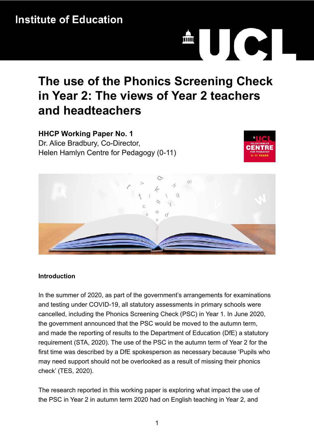**Institute of Education** 

# UC шщ

# **The use of the Phonics Screening Check in Year 2: The views of Year 2 teachers and headteachers**

**HHCP Working Paper No. 1**

Dr. Alice Bradbury, Co-Director, Helen Hamlyn Centre for Pedagogy (0-11)





#### **Introduction**

In the summer of 2020, as part of the government's arrangements for examinations and testing under COVID-19, all statutory assessments in primary schools were cancelled, including the Phonics Screening Check (PSC) in Year 1. In June 2020, the government announced that the PSC would be moved to the autumn term, and made the reporting of results to the Department of Education (DfE) a statutory requirement (STA, 2020). The use of the PSC in the autumn term of Year 2 for the first time was described by a DfE spokesperson as necessary because 'Pupils who may need support should not be overlooked as a result of missing their phonics check' (TES, 2020).

The research reported in this working paper is exploring what impact the use of the PSC in Year 2 in autumn term 2020 had on English teaching in Year 2, and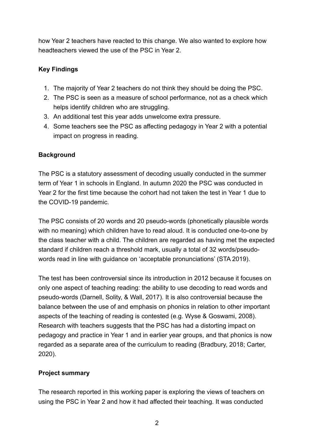how Year 2 teachers have reacted to this change. We also wanted to explore how headteachers viewed the use of the PSC in Year 2.

# **Key Findings**

- 1. The majority of Year 2 teachers do not think they should be doing the PSC.
- 2. The PSC is seen as a measure of school performance, not as a check which helps identify children who are struggling.
- 3. An additional test this year adds unwelcome extra pressure.
- 4. Some teachers see the PSC as affecting pedagogy in Year 2 with a potential impact on progress in reading.

## **Background**

The PSC is a statutory assessment of decoding usually conducted in the summer term of Year 1 in schools in England. In autumn 2020 the PSC was conducted in Year 2 for the first time because the cohort had not taken the test in Year 1 due to the COVID-19 pandemic.

The PSC consists of 20 words and 20 pseudo-words (phonetically plausible words with no meaning) which children have to read aloud. It is conducted one-to-one by the class teacher with a child. The children are regarded as having met the expected standard if children reach a threshold mark, usually a total of 32 words/pseudowords read in line with guidance on 'acceptable pronunciations' (STA 2019).

The test has been controversial since its introduction in 2012 because it focuses on only one aspect of teaching reading: the ability to use decoding to read words and pseudo-words (Darnell, Solity, & Wall, 2017). It is also controversial because the balance between the use of and emphasis on phonics in relation to other important aspects of the teaching of reading is contested (e.g. Wyse & Goswami, 2008). Research with teachers suggests that the PSC has had a distorting impact on pedagogy and practice in Year 1 and in earlier year groups, and that phonics is now regarded as a separate area of the curriculum to reading (Bradbury, 2018; Carter, 2020).

# **Project summary**

The research reported in this working paper is exploring the views of teachers on using the PSC in Year 2 and how it had affected their teaching. It was conducted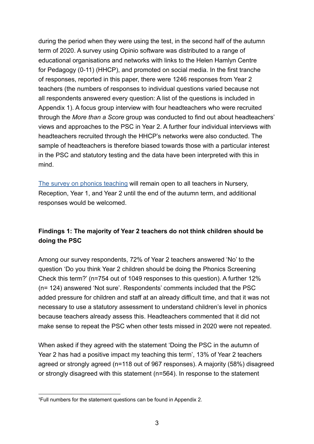during the period when they were using the test, in the second half of the autumn term of 2020. A survey using Opinio software was distributed to a range of educational organisations and networks with links to the Helen Hamlyn Centre for Pedagogy (0-11) (HHCP), and promoted on social media. In the first tranche of responses, reported in this paper, there were 1246 responses from Year 2 teachers (the numbers of responses to individual questions varied because not all respondents answered every question: A list of the questions is included in Appendix 1). A focus group interview with four headteachers who were recruited through the *More than a Score* group was conducted to find out about headteachers' views and approaches to the PSC in Year 2. A further four individual interviews with headteachers recruited through the HHCP's networks were also conducted. The sample of headteachers is therefore biased towards those with a particular interest in the PSC and statutory testing and the data have been interpreted with this in mind.

[The survey on phonics teaching](https://www.ucl.ac.uk/ioe/departments-and-centres/centres/helen-hamlyn-centre-pedagogy-0-11-years/impact-phonics-screening-check-year-2) will remain open to all teachers in Nursery, Reception, Year 1, and Year 2 until the end of the autumn term, and additional responses would be welcomed.

## **Findings 1: The majority of Year 2 teachers do not think children should be doing the PSC**

Among our survey respondents, 72% of Year 2 teachers answered 'No' to the question 'Do you think Year 2 children should be doing the Phonics Screening Check this term?' (n=754 out of 1049 responses to this question). A further 12% (n= 124) answered 'Not sure'. Respondents' comments included that the PSC added pressure for children and staff at an already difficult time, and that it was not necessary to use a statutory assessment to understand children's level in phonics because teachers already assess this. Headteachers commented that it did not make sense to repeat the PSC when other tests missed in 2020 were not repeated.

When asked if they agreed with the statement 'Doing the PSC in the autumn of Year 2 has had a positive impact my teaching this term', 13% of Year 2 teachers agreed or strongly agreed (n=118 out of 967 responses). A majority (58%) disagreed or strongly disagreed with this statement (n=564). In response to the statement

<sup>&</sup>lt;sup>1</sup>Full numbers for the statement questions can be found in Appendix 2.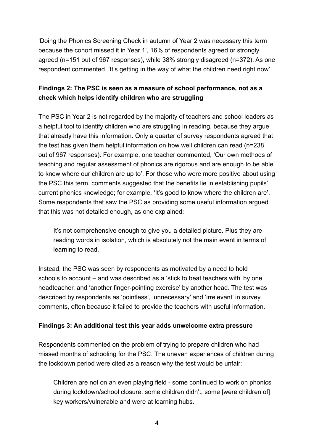'Doing the Phonics Screening Check in autumn of Year 2 was necessary this term because the cohort missed it in Year 1', 16% of respondents agreed or strongly agreed (n=151 out of 967 responses), while 38% strongly disagreed (n=372). As one respondent commented, 'It's getting in the way of what the children need right now'.

# **Findings 2: The PSC is seen as a measure of school performance, not as a check which helps identify children who are struggling**

The PSC in Year 2 is not regarded by the majority of teachers and school leaders as a helpful tool to identify children who are struggling in reading, because they argue that already have this information. Only a quarter of survey respondents agreed that the test has given them helpful information on how well children can read (n=238 out of 967 responses). For example, one teacher commented, 'Our own methods of teaching and regular assessment of phonics are rigorous and are enough to be able to know where our children are up to'. For those who were more positive about using the PSC this term, comments suggested that the benefits lie in establishing pupils' current phonics knowledge; for example, 'It's good to know where the children are'. Some respondents that saw the PSC as providing some useful information argued that this was not detailed enough, as one explained:

It's not comprehensive enough to give you a detailed picture. Plus they are reading words in isolation, which is absolutely not the main event in terms of learning to read.

Instead, the PSC was seen by respondents as motivated by a need to hold schools to account – and was described as a 'stick to beat teachers with' by one headteacher, and 'another finger-pointing exercise' by another head. The test was described by respondents as 'pointless', 'unnecessary' and 'irrelevant' in survey comments, often because it failed to provide the teachers with useful information.

#### **Findings 3: An additional test this year adds unwelcome extra pressure**

Respondents commented on the problem of trying to prepare children who had missed months of schooling for the PSC. The uneven experiences of children during the lockdown period were cited as a reason why the test would be unfair:

Children are not on an even playing field - some continued to work on phonics during lockdown/school closure; some children didn't; some [were children of] key workers/vulnerable and were at learning hubs.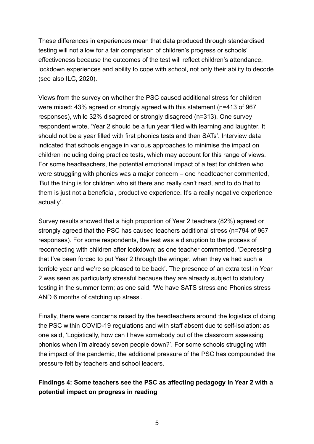These differences in experiences mean that data produced through standardised testing will not allow for a fair comparison of children's progress or schools' effectiveness because the outcomes of the test will reflect children's attendance, lockdown experiences and ability to cope with school, not only their ability to decode (see also ILC, 2020).

Views from the survey on whether the PSC caused additional stress for children were mixed: 43% agreed or strongly agreed with this statement (n=413 of 967 responses), while 32% disagreed or strongly disagreed (n=313). One survey respondent wrote, 'Year 2 should be a fun year filled with learning and laughter. It should not be a year filled with first phonics tests and then SATs'. Interview data indicated that schools engage in various approaches to minimise the impact on children including doing practice tests, which may account for this range of views. For some headteachers, the potential emotional impact of a test for children who were struggling with phonics was a major concern – one headteacher commented, 'But the thing is for children who sit there and really can't read, and to do that to them is just not a beneficial, productive experience. It's a really negative experience actually'.

Survey results showed that a high proportion of Year 2 teachers (82%) agreed or strongly agreed that the PSC has caused teachers additional stress (n=794 of 967 responses). For some respondents, the test was a disruption to the process of reconnecting with children after lockdown; as one teacher commented, 'Depressing that I've been forced to put Year 2 through the wringer, when they've had such a terrible year and we're so pleased to be back'. The presence of an extra test in Year 2 was seen as particularly stressful because they are already subject to statutory testing in the summer term; as one said, 'We have SATS stress and Phonics stress AND 6 months of catching up stress'.

Finally, there were concerns raised by the headteachers around the logistics of doing the PSC within COVID-19 regulations and with staff absent due to self-isolation: as one said, 'Logistically, how can I have somebody out of the classroom assessing phonics when I'm already seven people down?'. For some schools struggling with the impact of the pandemic, the additional pressure of the PSC has compounded the pressure felt by teachers and school leaders.

# **Findings 4: Some teachers see the PSC as affecting pedagogy in Year 2 with a potential impact on progress in reading**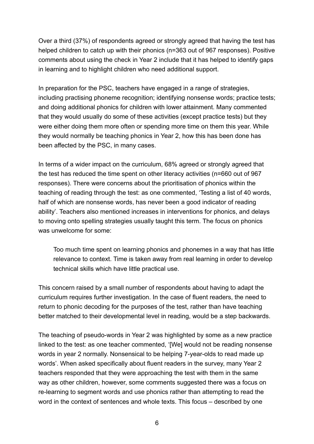Over a third (37%) of respondents agreed or strongly agreed that having the test has helped children to catch up with their phonics (n=363 out of 967 responses). Positive comments about using the check in Year 2 include that it has helped to identify gaps in learning and to highlight children who need additional support.

In preparation for the PSC, teachers have engaged in a range of strategies, including practising phoneme recognition; identifying nonsense words; practice tests; and doing additional phonics for children with lower attainment. Many commented that they would usually do some of these activities (except practice tests) but they were either doing them more often or spending more time on them this year. While they would normally be teaching phonics in Year 2, how this has been done has been affected by the PSC, in many cases.

In terms of a wider impact on the curriculum, 68% agreed or strongly agreed that the test has reduced the time spent on other literacy activities (n=660 out of 967 responses). There were concerns about the prioritisation of phonics within the teaching of reading through the test: as one commented, 'Testing a list of 40 words, half of which are nonsense words, has never been a good indicator of reading ability'. Teachers also mentioned increases in interventions for phonics, and delays to moving onto spelling strategies usually taught this term. The focus on phonics was unwelcome for some:

Too much time spent on learning phonics and phonemes in a way that has little relevance to context. Time is taken away from real learning in order to develop technical skills which have little practical use.

This concern raised by a small number of respondents about having to adapt the curriculum requires further investigation. In the case of fluent readers, the need to return to phonic decoding for the purposes of the test, rather than have teaching better matched to their developmental level in reading, would be a step backwards.

The teaching of pseudo-words in Year 2 was highlighted by some as a new practice linked to the test: as one teacher commented, '[We] would not be reading nonsense words in year 2 normally. Nonsensical to be helping 7-year-olds to read made up words'. When asked specifically about fluent readers in the survey, many Year 2 teachers responded that they were approaching the test with them in the same way as other children, however, some comments suggested there was a focus on re-learning to segment words and use phonics rather than attempting to read the word in the context of sentences and whole texts. This focus – described by one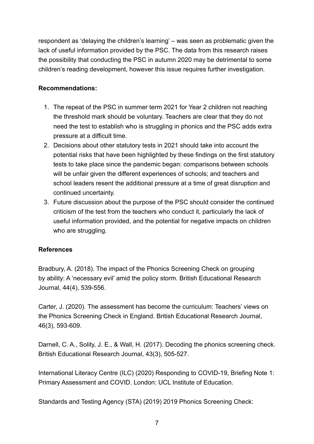respondent as 'delaying the children's learning' – was seen as problematic given the lack of useful information provided by the PSC. The data from this research raises the possibility that conducting the PSC in autumn 2020 may be detrimental to some children's reading development, however this issue requires further investigation.

#### **Recommendations:**

- 1. The repeat of the PSC in summer term 2021 for Year 2 children not reaching the threshold mark should be voluntary. Teachers are clear that they do not need the test to establish who is struggling in phonics and the PSC adds extra pressure at a difficult time.
- 2. Decisions about other statutory tests in 2021 should take into account the potential risks that have been highlighted by these findings on the first statutory tests to take place since the pandemic began: comparisons between schools will be unfair given the different experiences of schools; and teachers and school leaders resent the additional pressure at a time of great disruption and continued uncertainty.
- 3. Future discussion about the purpose of the PSC should consider the continued criticism of the test from the teachers who conduct it, particularly the lack of useful information provided, and the potential for negative impacts on children who are struggling.

#### **References**

Bradbury, A. (2018). The impact of the Phonics Screening Check on grouping by ability: A 'necessary evil' amid the policy storm. British Educational Research Journal, 44(4), 539-556.

Carter, J. (2020). The assessment has become the curriculum: Teachers' views on the Phonics Screening Check in England. British Educational Research Journal, 46(3), 593-609.

Darnell, C. A., Solity, J. E., & Wall, H. (2017). Decoding the phonics screening check. British Educational Research Journal, 43(3), 505-527.

International Literacy Centre (ILC) (2020) Responding to COVID-19, Briefing Note 1: Primary Assessment and COVID. London: UCL Institute of Education.

Standards and Testing Agency (STA) (2019) 2019 Phonics Screening Check: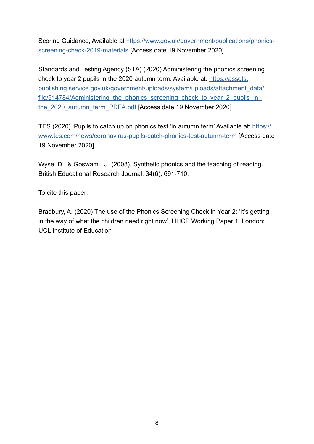Scoring Guidance, Available at [https://www.gov.uk/government/publications/phonics](https://www.gov.uk/government/publications/phonics-screening-check-2019-materials)[screening-check-2019-materials](https://www.gov.uk/government/publications/phonics-screening-check-2019-materials) [Access date 19 November 2020]

Standards and Testing Agency (STA) (2020) Administering the phonics screening check to year 2 pupils in the 2020 autumn term. Available at: [https://assets.](https://assets.publishing.service.gov.uk/government/uploads/system/uploads/attachment_data/file/914784/Administering_the_phonics_screening_check_to_year_2_pupils_in_the_2020_autumn_term_PDFA.pdf) [publishing.service.gov.uk/government/uploads/system/uploads/attachment\\_data/](https://assets.publishing.service.gov.uk/government/uploads/system/uploads/attachment_data/file/914784/Administering_the_phonics_screening_check_to_year_2_pupils_in_the_2020_autumn_term_PDFA.pdf) file/914784/Administering the phonics screening check to year 2 pupils in the 2020 autumn term PDFA.pdf [Access date 19 November 2020]

TES (2020) 'Pupils to catch up on phonics test 'in autumn term' Available at: [https://](https://www.tes.com/news/coronavirus-pupils-catch-phonics-test-autumn-term ) [www.tes.com/news/coronavirus-pupils-catch-phonics-test-autumn-term](https://www.tes.com/news/coronavirus-pupils-catch-phonics-test-autumn-term ) [Access date 19 November 2020]

Wyse, D., & Goswami, U. (2008). Synthetic phonics and the teaching of reading. British Educational Research Journal, 34(6), 691-710.

To cite this paper:

Bradbury, A. (2020) The use of the Phonics Screening Check in Year 2: 'It's getting in the way of what the children need right now', HHCP Working Paper 1. London: UCL Institute of Education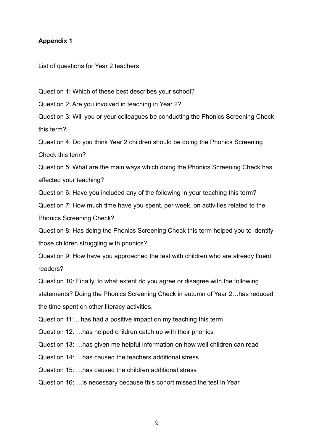#### **Appendix 1**

List of questions for Year 2 teachers

Question 1: Which of these best describes your school?

Question 2: Are you involved in teaching in Year 2?

Question 3: Will you or your colleagues be conducting the Phonics Screening Check this term?

Question 4: Do you think Year 2 children should be doing the Phonics Screening Check this term?

Question 5: What are the main ways which doing the Phonics Screening Check has affected your teaching?

Question 6: Have you included any of the following in your teaching this term?

Question 7: How much time have you spent, per week, on activities related to the Phonics Screening Check?

Question 8: Has doing the Phonics Screening Check this term helped you to identify those children struggling with phonics?

Question 9: How have you approached the test with children who are already fluent readers?

Question 10: Finally, to what extent do you agree or disagree with the following statements? Doing the Phonics Screening Check in autumn of Year 2…has reduced the time spent on other literacy activities.

Question 11: ...has had a positive impact on my teaching this term

Question 12: …has helped children catch up with their phonics

Question 13: …has given me helpful information on how well children can read

Question 14: …has caused the teachers additional stress

Question 15: …has caused the children additional stress

Question 16: …is necessary because this cohort missed the test in Year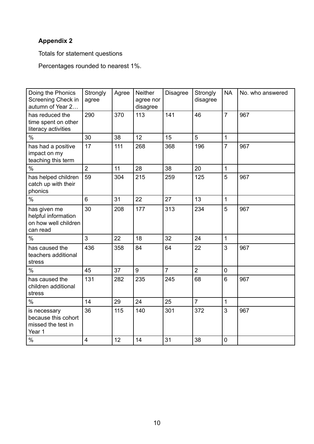# **Appendix 2**

Totals for statement questions

Percentages rounded to nearest 1%.

| Doing the Phonics<br>Screening Check in<br>autumn of Year 2             | Strongly<br>agree | Agree | Neither<br>agree nor<br>disagree | <b>Disagree</b> | Strongly<br>disagree | <b>NA</b>      | No. who answered |
|-------------------------------------------------------------------------|-------------------|-------|----------------------------------|-----------------|----------------------|----------------|------------------|
| has reduced the<br>time spent on other<br>literacy activities           | 290               | 370   | 113                              | 141             | 46                   | $\overline{7}$ | 967              |
| $\%$                                                                    | 30                | 38    | 12                               | 15              | 5                    | $\mathbf{1}$   |                  |
| has had a positive<br>impact on my<br>teaching this term                | 17                | 111   | 268                              | 368             | 196                  | $\overline{7}$ | 967              |
| $\%$                                                                    | $\overline{2}$    | 11    | 28                               | 38              | 20                   | $\mathbf{1}$   |                  |
| has helped children<br>catch up with their<br>phonics                   | 59                | 304   | 215                              | 259             | 125                  | 5              | 967              |
| $\%$                                                                    | 6                 | 31    | 22                               | 27              | 13                   | $\mathbf{1}$   |                  |
| has given me<br>helpful information<br>on how well children<br>can read | 30                | 208   | 177                              | 313             | 234                  | 5              | 967              |
| $\%$                                                                    | 3                 | 22    | 18                               | 32              | 24                   | $\mathbf{1}$   |                  |
| has caused the<br>teachers additional<br>stress                         | 436               | 358   | 84                               | 64              | 22                   | 3              | 967              |
| $\%$                                                                    | 45                | 37    | 9                                | $\overline{7}$  | $\overline{2}$       | 0              |                  |
| has caused the<br>children additional<br>stress                         | 131               | 282   | 235                              | 245             | 68                   | 6              | 967              |
| $\%$                                                                    | 14                | 29    | 24                               | 25              | $\overline{7}$       | 1              |                  |
| is necessary<br>because this cohort<br>missed the test in<br>Year 1     | 36                | 115   | 140                              | 301             | 372                  | 3              | 967              |
| $\%$                                                                    | $\overline{4}$    | 12    | 14                               | 31              | 38                   | 0              |                  |